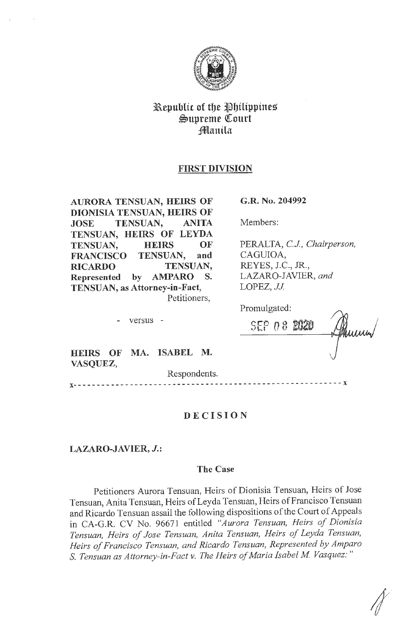

# Republic of the Philippines  $\mathfrak{S}$ upreme Court Jlflanila

# **FIRST DIVISION**

**AURORA TENSUAN, HEIRS OF DIONISIA TENSUAN, HEIRS OF JOSE TENSUAN, ANITA TENSUAN, HEIRS OF LEYDA TENSUAN, HEIRS OF FRANCISCO TENSUAN, and RICARDO TENSUAN, Represented by AMPARO S. TENSUAN, as Attorney-in-Fact,**  Petitioners,

- versus -

**G.R. No. 204992** 

Members:

PERALTA, *CJ, Chairperson,*  CAGUIOA, REYES, J.C., JR., LAZARO-JAVIER, *and*  LOPEZ, JJ.

| Promulgated: |  |  |     |
|--------------|--|--|-----|
| SEP08        |  |  | umm |
|              |  |  |     |

**HEIRS OF MA. ISABEL M. VASQUEZ,** 

Respondents.

**X-** - - - - - - - - - - - - - - - - - - - - - - - - - - - - - - - - - - - - - - - - - - - - - - - - - - - - - - - - **X** 

# **DECISION**

**LAZARO-JAVIER,** *J.:* 

# **The Case**

Petitioners Aurora Tensuan, Heirs of Dionisia Tensuan, Heirs of Jose Tensuan, Anita Tensuan, Heirs of Leyda Tensuan, Heirs of Francisco Tensuan and Ricardo Tensuan assail the following dispositions of the Court of Appeals in CA-G.R. CV No. 96671 entitled *"Aurora Tensuan, Heirs of Dionisia Tensuan, Heirs of Jose Tensuan, Anita Tensuan, Heirs of Leyda Tensuan, Heirs of Francisco Tensuan, and Ricardo Tensuan, Represented by Amparo*  S. Tensuan as Attorney-in-Fact v. The Heirs of Maria Isabel M. Vasquez:"

*I*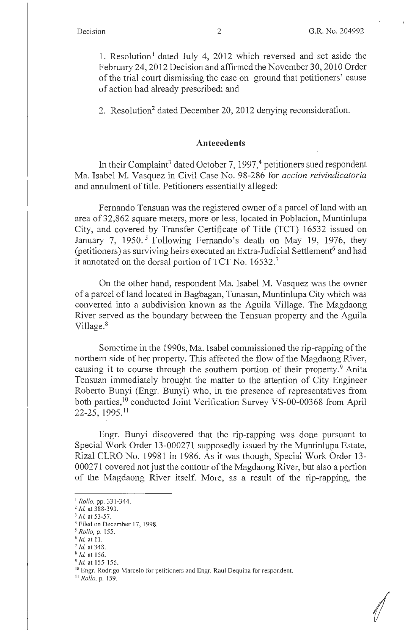1. Resolution<sup>1</sup> dated July 4, 2012 which reversed and set aside the February 24, 2012 Decision and affirmed the November 30, 2010 Order of the trial court dismissing the case on ground that petitioners' cause of action had already prescribed; and

2. Resolution<sup>2</sup> dated December 20, 2012 denying reconsideration.

## **Antecedents**

In their Complaint<sup>3</sup> dated October 7, 1997,<sup>4</sup> petitioners sued respondent Ma. Isabel M. Vasquez in Civil Case No. 98-286 for *accion reivindicatoria*  and annulment of title. Petitioners essentially alleged:

Fernando Tensuan was the registered owner of a parcel of land with an area of 32,862 square meters, more or less, located in Poblacion, Muntinlupa City, and covered by Transfer Certificate of Title (TCT) 16532 issued on January 7, 1950.<sup>5</sup> Following Fernando's death on May 19, 1976, they (petitioners) as surviving heirs executed an Extra-Judicial Settlement<sup>6</sup> and had it annotated on the dorsal portion of TCT No. 16532.<sup>7</sup>

On the other hand, respondent Ma. Isabel M. Vasquez was the owner of a parcel of land located in Bagbagan, Tunasan, Muntinlupa City which was converted into a subdivision known as the Aguila Village. The Magdaong River served as the boundary between the Tensuan property and the Aguila Village.<sup>8</sup>

Sometime in the 1990s, Ma. Isabel commissioned the rip-rapping of the northern side of her property. This affected the flow of the Magdaong River, causing it to course through the southern portion of their property.<sup>9</sup> Anita Tensuan immediately brought the matter to the attention of City Engineer Roberto Bunyi (Engr. Bunyi) who, in the presence of representatives from both parties,<sup>10</sup> conducted Joint Verification Survey VS-00-00368 from April 22-25, 1995. <sup>11</sup>

Engr. Bunyi discovered that the rip-rapping was done pursuant to Special Work Order 13-000271 supposedly issued by the Muntinlupa Estate, Rizal CLRO No. 19981 in 1986. As it was though, Special Work Order 13- 000271 covered not just the contour of the Magdaong River, but also a portion of the Magdaong River itself. More, as a result of the rip-rapping, the

<sup>9</sup>*Id.* at 155-156.

<sup>1</sup>*Rollo,* pp. 331-344.

<sup>&</sup>lt;sup>2</sup> *Id.* at 388-393.

 $3$  *Id.* at 53-57.

<sup>4</sup> Filed on December 17, 1998.

*<sup>5</sup> Rollo,* p. 155.

<sup>6</sup>Id. at 11. 7 *Id.* at 348.

<sup>8</sup>*Id.* at 156.

<sup>&</sup>lt;sup>10</sup> Engr. Rodrigo Marcelo for petitioners and Engr. Raul Dequina for respondent.

<sup>11</sup>*Rollo,* p. 159.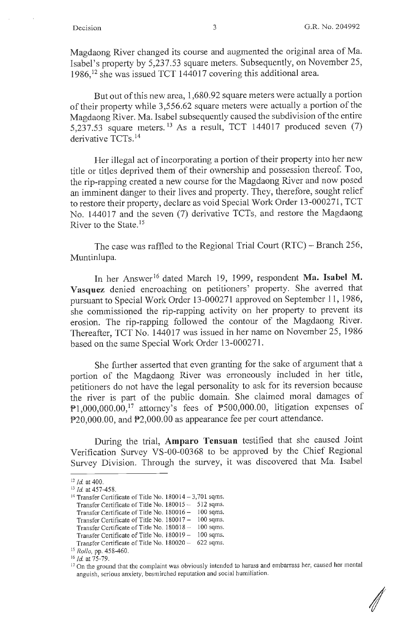Magdaong River changed its course and augmented the original area of Ma. Isabel's property by 5,237.53 square meters. Subsequently, on November 25, 1986, 12 she was issued TCT 144017 covering this additional area.

But out of this new area, 1,680.92 square meters were actually a portion of their property while 3,556.62 square meters were actually a portion of the Magdaong River. Ma. Isabel subsequently caused the subdivision of the entire 5,237.53 square meters.<sup>13</sup> As a result, TCT 144017 produced seven  $(7)$ derivative TCTs.<sup>14</sup>

Her illegal act of incorporating a portion of their property into her new title or titles deprived them of their ownership and possession thereof. Too, the rip-rapping created a new course for the Magdaong River and now posed an imminent danger to their lives and property. They, therefore, sought relief to restore their property, declare as void Special Work Order 13-000271, TCT No. 144017 and the seven (7) derivative TCTs, and restore the Magdaong River to the State.<sup>15</sup>

The case was raffled to the Regional Trial Court (RTC) - Branch 256, Muntinlupa.

In her Answer<sup>16</sup> dated March 19, 1999, respondent Ma. Isabel M. **Vasquez** denied encroaching on petitioners' property. She averred that pursuant to Special Work Order 13-000271 approved on September 11, 1986, she commissioned the rip-rapping activity on her property to prevent its erosion. The rip-rapping followed the contour of the Magdaong River. Thereafter, TCT No. 144017 was issued in her name on November 25, 1986 based on the same Special Work Order 13-000271.

She further asserted that even granting for the sake of argument that a portion of the Magdaong River was erroneously included in her title, petitioners do not have the legal personality to ask for its reversion because the river is part of the public domain. She claimed moral damages of P1,000,000.00,<sup>17</sup> attorney's fees of  $P500,000.00$ , litigation expenses of P20,000.00, and P2,000.00 as appearance fee per court attendance.

During the trial, **Amparo Tensuan** testified that she caused Joint Verification Survey VS-00-00368 to be approved by the Chief Regional Survey Division. Through the survey, it was discovered that Ma. Isabel

<sup>&</sup>lt;sup>12</sup> *Id.* at 400.<br><sup>13</sup> *Id.* at 457-458.<br><sup>14</sup> Transfer Certificate of Title No. 180014 – 3,701 sqms. Transfer Certificate of Title No. 180015 - 512 sqms. Transfer Certificate of Title No. 180016 - 100 sqms. Transfer Certificate of Title No. 180017 - 100 sqms. Transfer Certificate of Title No. 180018 - 100 sqms. Transfer Certificate of Title No. 180019 - 100 sqms. Transfer Certificate of Title No. I 80020 - 622 sqms.

<sup>15</sup> *Rollo,* pp. 458-460.

<sup>&</sup>lt;sup>16</sup> *Id.* at 75-79.<br><sup>17</sup> On the ground that the complaint was obviously intended to harass and embarrass her, caused her mental anguish, serious anxiety, besmirched reputation and social humiliation.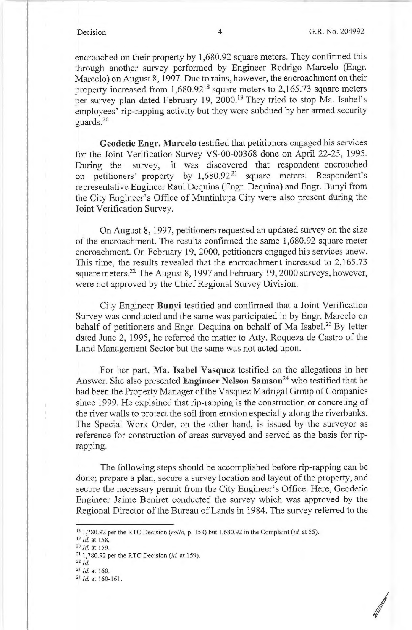encroached on their property by 1,680.92 square meters. They confirmed this through another survey performed by Engineer Rodrigo Marcelo (Engr. Marcelo) on August 8, 1997. Due to rains, however, the encroachment on their property increased from  $1,680.92^{18}$  square meters to 2,165.73 square meters per survey plan dated February 19, 2000.<sup>19</sup> They tried to stop Ma. Isabel's employees' rip-rapping activity but they were subdued by her armed security guards.<sup>20</sup>

**Geodetic Engr. Marcelo** testified that petitioners engaged his services for the Joint Verification Survey VS-00-00368 done on April 22-25, 1995. During the survey, it was discovered that respondent encroached on petitioners' property by 1,680.92<sup>21</sup> square meters. Respondent's representative Engineer Raul Dequina (Engr. Dequina) and Engr. Bunyi from the City Engineer's Office of Muntinlupa City were also present during the Joint Verification Survey.

On August 8, 1997, petitioners requested an updated survey on the size of the encroachment. The results confirmed the same 1,680.92 square meter encroachment. On February 19, 2000, petitioners engaged his services anew. This time, the results revealed that the encroachment increased to 2,165.73 square meters.<sup>22</sup> The August 8, 1997 and February 19, 2000 surveys, however, were not approved by the Chief Regional Survey Division.

City Engineer **Bunyi** testified and confirmed that a Joint Verification Survey was conducted and the same was participated in by Engr. Marcelo on behalf of petitioners and Engr. Dequina on behalf of Ma Isabel.<sup>23</sup> By letter dated June 2, 1995, he referred the matter to Atty. Roqueza de Castro of the Land Management Sector but the same was not acted upon.

For her part, **Ma. Isabel Vasquez** testified on the allegations in her Answer. She also presented **Engineer Nelson Samson<sup>24</sup>**who testified that he had been the Property Manager of the Vasquez Madrigal Group of Companies since 1999. He explained that rip-rapping is the construction or concreting of the river walls to protect the soil from erosion especially along the riverbanks. The Special Work Order, on the other hand, is issued by the surveyor as reference for construction of areas surveyed and served as the basis for riprapping.

The following steps should be accomplished before rip-rapping can be done; prepare a plan, secure a survey location and layout of the property, and secure the necessary permit from the City Engineer's Office. Here, Geodetic Engineer Jaime Beniret conducted the survey which was approved by the Regional Director of the Bureau of Lands in 1984. The survey referred to the

22 *Id.* 

<sup>23</sup>*Id.* at 160.

<sup>18</sup>1,780.92 per the RTC Decision *(ratio,* p. 158) but 1,680.92 in the Complaint *(id* at 55). 19 *Id.* at 158. 20 *Id.* at 159.

<sup>21</sup>1,780.92 per the RTC Decision *(id.* at 159).

<sup>24</sup>*Id.* at 160-161.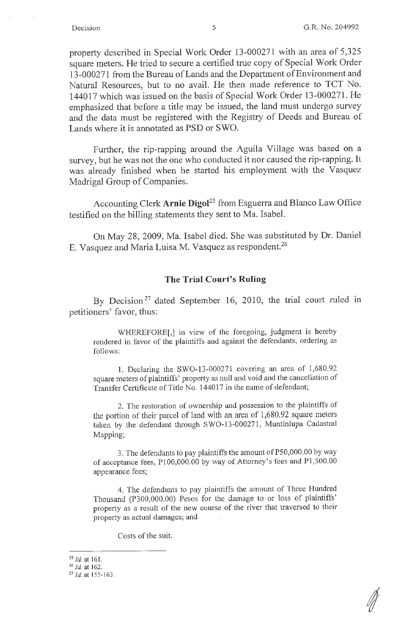property described in Special Work Order 13-000271 with an area of 5,325 square meters. He tried to secure a certified true copy of Special Work Order 13-000271 from the Bureau of Lands and the Department ofEnvironment and Natural Resources, but to no avail. He then made reference to TCT No. 144017 which was issued on the basis of Special Work Order 13-000271. He emphasized that before a title may be issued, the land must undergo survey and the data must be registered with the Registry of Deeds and Bureau of Lands where it is annotated as PSD or SWO.

Further, the rip-rapping around the Aguila Village was based on a survey, but he was not the one who conducted it nor caused the rip-rapping. It was already finished when he started his employment with the Vasquez Madrigal Group of Companies.

Accounting Clerk **Arnie Digol25** from Esguerra and Blanco Law Office testified on the billing statements they sent to Ma. Isabel.

On May 28, 2009, Ma. Isabel died. She was substituted by Dr. Daniel E. Vasquez and Maria Luisa M. Vasquez as respondent.<sup>26</sup>

### **The Trial Court's Ruling**

By Decision<sup>27</sup> dated September 16, 2010, the trial court ruled in petitioners' favor, thus:

WHEREFORE[,] in view of the foregoing, judgment is hereby rendered in favor of the plaintiffs and against the defendants, ordering as follows:

I. Declaring the SWO-13-000271 covering an area of 1,680.92 square meters of plaintiffs' property as null and void and the cancellation of Transfer Certificate of Title No. 144017 in the name of defendant;

2. The restoration of ownership and possession to the plaintiffs of the portion of their parcel of land with an area of 1,680.92 square meters taken by the defendant through SWO-13-000271, Muntinlupa Cadastral Mapping;

3. The defendants to pay plaintiffs the amount of PS0,000.00 by way of acceptance fees, Pl00,000.00 by way of Attorney's fees and Pl,500.00 appearance fees;

4. The defendants to pay plaintiffs the amount of Three Hundred Thousand (P300,000.00) Pesos for the damage to or loss of plaintiffs' property as a result of the new course of the river that traversed to their property as actual damages; and

Costs of the suit.

<sup>&</sup>lt;sup>25</sup> *Id.* at 161.<br><sup>26</sup> *Id.* at 162.

<sup>26</sup>*Id.* at 162. 27 *Id.* at 155-163.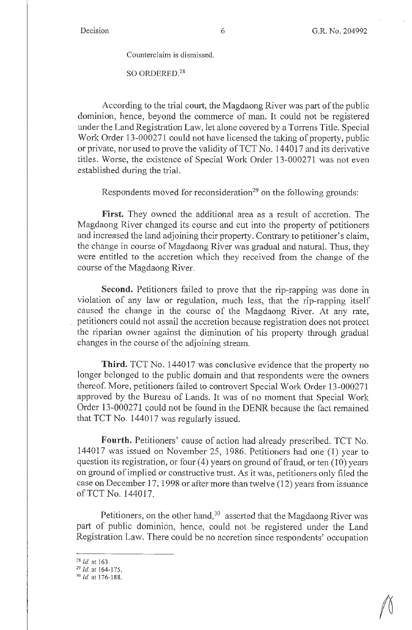Counterclaim is dismissed.

SO ORDERED.<sup>28</sup>

According to the trial court, the Magdaong River was part of the public dominion, hence, beyond the commerce of man. It could not be registered under the Land Registration Law, let alone covered by a Torrens Title. Special Work Order 13-000271 could not have licensed the taking of property, public or private, nor used to prove the validity of TCT No. 144017 and its derivative titles. Worse, the existence of Special Work Order 13-000271 was not even established during the trial.

Respondents moved for reconsideration<sup>29</sup> on the following grounds:

**First.** They owned the additional area as a result of accretion. The Magdaong River changed its course and cut into the property of petitioners and increased the land adjoining their property. Contrary to petitioner's claim, the change in course of Magdaong River was gradual and natural. Thus, they were entitled to the accretion which they received from the change of the course of the Magdaong River.

**Second.** Petitioners failed to prove that the rip-rapping was done in violation of any law or regulation, much less, that the rip-rapping itself caused the change in the course of the Magdaong River. At any rate, petitioners could not assail the accretion because registration does not protect the riparian owner against the diminution of his property through gradual changes in the course of the adjoining stream.

**Third.** TCT No. 144017 was conclusive evidence that the property no longer belonged to the public domain and that respondents were the owners thereof. More, petitioners failed to controvert Special Work Order 13-000271 approved by the Bureau of Lands. It was of no moment that Special Work Order 13-000271 could not be found in the DENR because the fact remained that TCT No. 144017 was regularly issued.

**Fourth.** Petitioners' cause of action had already prescribed. TCT No. 144017 was issued on November 25, 1986. Petitioners had one (1) year to question its registration, or four  $(4)$  years on ground of fraud, or ten  $(10)$  years on ground of implied or constructive trust. As it was, petitioners only filed the case on December 17, 1998 or after more than twelve  $(12)$  years from issuance ofTCT No. 144017.

Petitioners, on the other hand,  $30$  asserted that the Magdaong River was part of public dominion, hence, could not be registered under the Land Registration Law. There could be no accretion since respondents' occupation

<sup>28</sup>*/d.* at 163. 29 *Id.* at 164-175. 30 *Id.* at 176-188.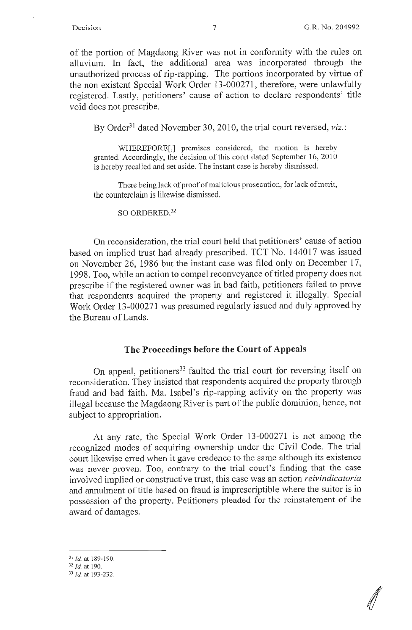of the portion of Magdaong River was not in conformity with the rules on alluvium. In fact, the additional area was incorporated through the unauthorized process of rip-rapping. The portions incorporated by virtue of the non existent Special Work Order 13-000271, therefore, were unlawfully registered. Lastly, petitioners' cause of action to declare respondents' title void does not prescribe.

By Order<sup>31</sup> dated November 30, 2010, the trial court reversed, *viz.*:

WHEREFORE[,] premises considered, the motion is hereby granted. Accordingly, the decision of this court dated September 16, 2010 is hereby recalled and set aside. The instant case is hereby dismissed.

There being lack of proof of malicious prosecution, for lack of merit, the counterclaim is likewise dismissed.

SO ORDERED.<sup>32</sup>

On reconsideration, the trial court held that petitioners' cause of action based on implied trust had already prescribed. TCT No. 144017 was issued on November 26, 1986 but the instant case was filed only on December 17, 1998. Too, while an action to compel reconveyance of titled property does not prescribe if the registered owner was in bad faith, petitioners failed to prove that respondents acquired the property and registered it illegally. Special Work Order 13-000271 was presumed regularly issued and duly approved by the Bureau of Lands.

## **The Proceedings before the Court of Appeals**

On appeal, petitioners<sup>33</sup> faulted the trial court for reversing itself on reconsideration. They insisted that respondents acquired the property through fraud and bad faith. Ma. Isabel's rip-rapping activity on the property was illegal because the Magdaong River is part of the public dominion, hence, not subject to appropriation.

At any rate, the Special Work Order 13-000271 is not among the recognized modes of acquiring ownership under the Civil Code. The trial court likewise erred when it gave credence to the same although its existence was never proven. Too, contrary to the trial court's finding that the case involved implied or constructive trust, this case was an action *reivindicatoria*  and annulment of title based on fraud is imprescriptible where the suitor is in possession of the property. Petitioners pleaded for the reinstatement of the award of damages.

<sup>31</sup>*Id.* at 189- 190.

<sup>32</sup>*Id.* at 190.

 $33$  Id. at 193-232.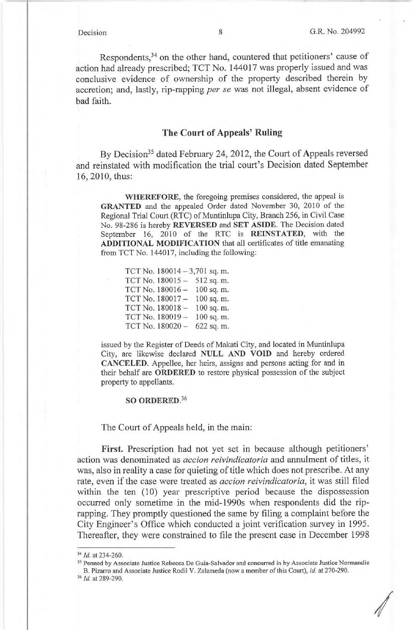Respondents,<sup>34</sup> on the other hand, countered that petitioners' cause of action had already prescribed; TCT No. 144017 was properly issued and was conclusive evidence of ownership of the property described therein by accretion; and, lastly, rip-rapping *per se* was not illegal, absent evidence of bad faith.

# **The Court of Appeals' Ruling**

By Decision<sup>35</sup> dated February 24, 2012, the Court of Appeals reversed and reinstated with modification the trial court's Decision dated September 16, 2010, thus:

**WHEREFORE,** the foregoing premises considered, the appeal is **GRANTED** and the appealed Order dated November 30, 2010 of the Regional Trial Court (RTC) of Muntinlupa City, Branch 256, in Civil Case No. 98-286 is hereby **REVERSED and SET ASIDE.** The Decision dated September 16, 2010 of the RTC is **REINSTATED,** with the **ADDITIONAL MODIFICATION** that all certificates of title emanating from TCT No. 144017, including the following:

|                  | TCT No. $180014 - 3,701$ sq. m. |
|------------------|---------------------------------|
| TCT No. 180015-  | 512 sq. m.                      |
| TCT No. 180016 - | 100 sq. m.                      |
| TCT No. 180017-  | 100 sq. m.                      |
| TCT No. 180018-  | 100 sq. m.                      |
| TCT No. 180019-  | 100 sq. m.                      |
| TCT No. 180020-  | 622 sq. m.                      |

issued by the Register of Deeds of Makati City, and located in Muntinlupa City, are likewise declared **NULL AND VOID** and hereby ordered **CANCELED.** Appellee, her heirs, assigns and persons acting for and in their behalf are **ORDERED** to restore physical possession of the subject property to appellants.

## **SO ORDERED. 36**

### The Court of Appeals held, in the main:

**First.** Prescription had not yet set in because although petitioners' action was denominated as *accion reivindicatoria* and annulment of titles, it was, also in reality a case for quieting of title which does not prescribe. At any rate, even if the case were treated as *ace ion reivindicatoria,* it was still filed within the ten (10) year prescriptive period because the dispossession occurred only sometime in the mid-**l** 990s when respondents did the riprapping. They promptly questioned the same by filing a complaint before the City Engineer's Office which conducted a joint verification survey in 1995. Thereafter, they were constrained to file the present case in December 1998

<sup>&</sup>lt;sup>34</sup> *Id.* at 234-260.<br><sup>35</sup> Penned by Associate Justice Rebecca De Guia-Salvador and concurred in by Associate Justice Normandie B. Pizarro and Associate Justice Rodil V. Zalameda (now a member of this Court), *id.* at 270-290. <sup>36</sup> *Id.* at 289-290.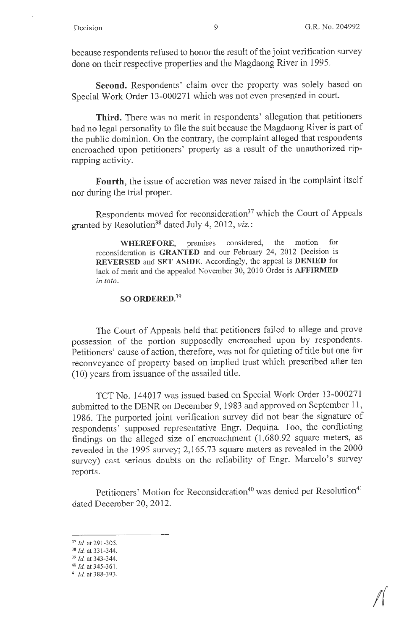because respondents refused to honor the result of the joint verification survey done on their respective properties and the Magdaong River in 1995.

**Second.** Respondents' claim over the property was solely based on Special Work Order 13-000271 which was not even presented in court.

**Third.** There was no merit in respondents' allegation that petitioners had no legal personality to file the suit because the Magdaong River is part of the public dominion. On the contrary, the complaint alleged that respondents encroached upon petitioners' property as a result of the unauthorized riprapping activity.

**Fourth,** the issue of accretion was never raised in the complaint itself nor during the trial proper.

Respondents moved for reconsideration<sup>37</sup> which the Court of Appeals granted by Resolution<sup>38</sup> dated July 4, 2012, *viz.*:

**WHEREFORE,** premises considered, the motion for reconsideration is **GRANTED** and our February 24, 2012 Decision is **REVERSED** and **SET ASIDE.** Accordingly, the appeal is **DENIED** for lack of merit and the appealed November 30, 2010 Order is **AFFIRMED**  *in toto.* 

# **SO ORDERED.**<sup>39</sup>

The Court of Appeals held that petitioners failed to allege and prove possession of the portion supposedly encroached upon by respondents. Petitioners' cause of action, therefore, was not for quieting of title but one for reconveyance of property based on implied trust which prescribed after ten (10) years from issuance of the assailed title.

TCT No. 144017 was issued based on Special Work Order 13-000271 submitted to the DENR on December 9, 1983 and approved on September 11, 1986. The purported joint verification survey did not bear the signature of respondents' supposed representative Engr. Dequina. Too, the conflicting findings on the alleged size of encroachment (1,680.92 square meters, as revealed in the 1995 survey; 2,165.73 square meters as revealed in the 2000 survey) cast serious doubts on the reliability of Engr. Marcelo's survey reports.

Petitioners' Motion for Reconsideration<sup>40</sup> was denied per Resolution<sup>41</sup> dated December 20, 2012.

<sup>37</sup>*id* at 291-305. 38 *id.* at 331-344. 39 *id.* at 343-344. 40 *Id.* at 345-36 I. 41 *Id.* at 388-393.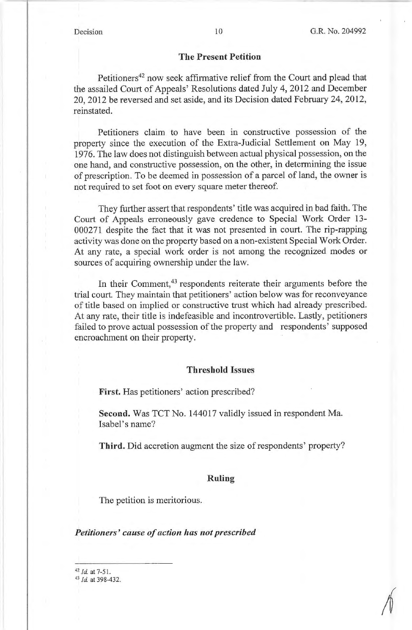### **The Present Petition**

Petitioners<sup>42</sup> now seek affirmative relief from the Court and plead that the assailed Court of Appeals' Resolutions dated July 4, 2012 and December 20, 2012 be reversed and set aside, and its Decision dated February 24, 2012, reinstated.

Petitioners claim to have been in constructive possession of the property since the execution of the Extra-Judicial Settlement on May 19, 1976. The law does not distinguish between actual physical possession, on the one hand, and constructive possession, on the other, in determining the issue of prescription. To be deemed in possession of a parcel of land, the owner is not required to set foot on every square meter thereof.

They further assert that respondents' title was acquired in bad faith. The Court of Appeals erroneously gave credence to Special Work Order 13- 000271 despite the fact that it was not presented in court. The rip-rapping activity was done on the property based on a non-existent Special Work Order. At any rate, a special work order *is* not among the recognized modes or sources of acquiring ownership under the law.

In their Comment,<sup>43</sup> respondents reiterate their arguments before the trial court. They maintain that petitioners' action below was for reconveyance of title based on implied or constructive trust which had already prescribed. At any rate, their title is indefeasible and incontrovertible. Lastly, petitioners failed to prove actual possession of the property and respondents' supposed encroachment on their property.

## **Threshold Issues**

**First.** Has petitioners' action prescribed?

**Second.** Was TCT No. 144017 validly issued in respondent Ma. Isabel's name?

**Third.** Did accretion augment the size of respondents' property?

## **Ruling**

The petition is meritorious.

## *Petitioners' cause of action has not prescribed*

<sup>42</sup>*Id.* at 7-51. 43 *Id.* at 398-432.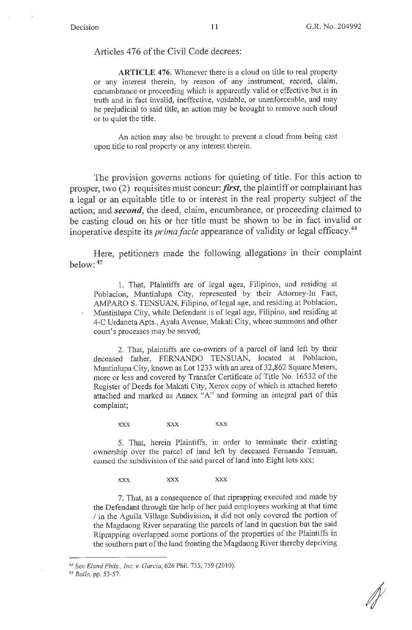Articles 476 of the Civil Code decrees:

**ARTICLE 476.** Whenever there is a cloud on title to real property or any interest therein, by reason of any instrument, record, claim, encumbrance or proceeding which is apparently valid or effective but is in truth and in fact invalid, ineffective, voidable, or unenforceable, and may be prejudicial to said title, an action may be brought to remove such cloud or to quiet the title.

An action may also be brought to prevent a cloud from being cast upon title to real property or any interest therein.

The provision governs actions for quieting of title. For this action to prosper, two  $(2)$  requisites must concur: *first*, the plaintiff or complainant has a legal or an equitable title to or interest in the real property subject of the action; and *second,* the deed, claim, encumbrance, or proceeding claimed to be casting cloud on his or her title must be shown to be in fact invalid or inoperative despite its *primafacie* appearance of validity or legal efficacy.44

Here, petitioners made the following allegations in their complaint below: 45

1. That, Plaintiffs are of legal ages, Filipinos, and residing at Poblacion, Muntinlupa City, represented by their Attorney-In Fact, AMPARO S. TENSUAN, Filipino, of legal age, and residing at Poblacion, Muntinlupa City, while Defendant is of legal age, Filipino, and residing at 4-C Urdaneta Apts., Ayala Avenue, Makati City, where summons and other court's processes may be served;

2. That, plaintiffs are co-owners of a parcel of land left by their deceased father, FERNANDO TENSUAN, located at Poblacion, Muntinlupa City, known as Lot 1233 with an area of 32,862 Square Meters, more or less and covered by Transfer Certificate of Title No. 16532 of the Register of Deeds for Makati City, Xerox copy of which is attached hereto attached and marked as Annex "A" and forming an integral part of this complaint;

**XXX XXX XXX** 

5. That, herein Plaintiffs, in order to terminate their existing ownership over the parcel of land left by deceased Fernando Tensuan, caused the subdivision of the said parcel of land into Eight lots xxx;

**XXX XXX XXX** 

7. That, as a consequence of that riprapping executed and made by the Defendant through the help of her paid employees working at that time If in the Aguila Village Subdivision, it did not only covered the portion of the Magdaong River separating the parcels of land in question but the said Riprapping overlapped some portions of the properties of the Plaintiffs in the southern part of the land fronting the Magdaong River thereby depriving

<sup>44</sup> See *Eland Phils., Inc. v. Garcia*, 626 Phil. 735, 759 (2010).

<sup>45</sup>*Rollo,* pp. 53-57.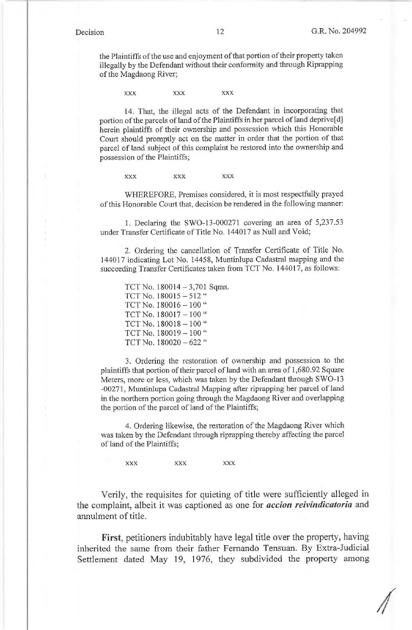the Plaintiffs of the use and enjoyment of that portion of their property taken illegally by the Defendant without their conformity and through Riprapping of the Magdaong River;

**XXX XXX XXX** 

14. That, the illegal acts of the Defendant in incorporating that portion of the parcels of land of the Plaintiffs in her parcel of land deprive[d] herein plaintiffs of their ownership and possession which this Honorable Court should promptly act on the matter in order that the portion of that parcel of land subject of this complaint be restored into the ownership and possession of the Plaintiffs;

**XXX XXX XXX** 

WHEREFORE, Premises considered, it is most respectfully prayed of this Honorable Court that, decision be rendered in the following manner:

1. Declaring the SWO-13-000271 covering an area of 5,237.53 under Transfer Certificate of Title No. 144017 as Null and Void;

2. Ordering the cancellation of Transfer Certificate of Title No. 144017 indicating Lot No. 14458, Muntinlupa Cadastral mapping and the succeeding Transfer Certificates taken from TCT No. 144017, as follows:

TCT No. 180014 -3,701 Sqms. TCT No. 180015 - 512" TCT No.  $180016 - 100$  " TCT No.  $180017 - 100$  " TCT No. 180018 - 100 " TCT No. 180019 - 100 " TCT No. 180020 - 622 "

3. Ordering the restoration of ownership and possession to the plaintiffs that portion of their parcel of land with an area of 1,680.92 Square Meters, more or less, which was taken by the Defendant through SWO-13 -00271 , Muntinlupa Cadastral Mapping after riprapping her parcel of land in the northern portion going through the Magdaong River and overlapping the portion of the parcel of land of the Plaintiffs;

4. Ordering likewise, the restoration of the Magdaong River which was taken by the Defendant through riprapping thereby affecting the parcel of land of the Plaintiffs;

**XXX XXX XXX** 

Verily, the requisites for quieting of title were sufficiently alleged in the complaint, albeit it was captioned as one for *accion reivindicatoria* and annulment of title.

**First,** petitioners indubitably have legal title over the property, having inherited the same from their father Fernando Tensuan. By Extra-Judicial Settlement dated May 19, 1976, they subdivided the property among

*I*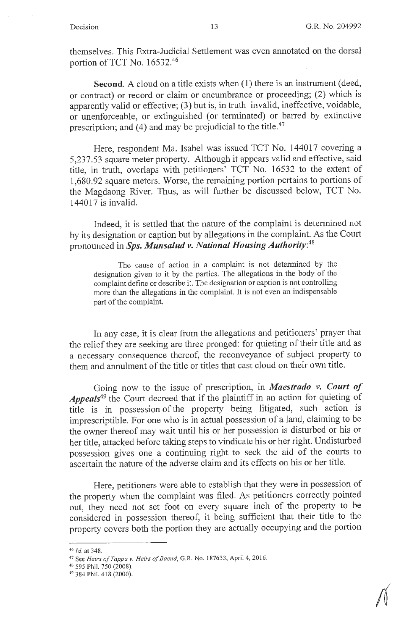themselves. This Extra-Judicial Settlement was even annotated on the dorsal portion of TCT No.  $16532.^{46}$ 

**Second.** A cloud on a title exists when (1) there is an instrument (deed, or contract) or record or claim or encumbrance or proceeding; (2) which is apparently valid or effective; (3) but is, in truth invalid, ineffective, voidable, or unenforceable, or extinguished ( or terminated) or barred by extinctive prescription; and (4) and may be prejudicial to the title.<sup>47</sup>

Here, respondent Ma. Isabel was issued TCT No. 144017 covering a 5,237.53 square meter property. Although it appears valid and effective, said title, in truth, overlaps with petitioners' TCT No. 16532 to the extent of 1,680.92 square meters. Worse, the remaining portion pertains to portions of the Magdaong River. Thus, as will further be discussed below, TCT No.  $144017$  is invalid.

Indeed, it is settled that the nature of the complaint is determined not by its designation or caption but by allegations in the complaint. As the Court pronounced in *Sps. Munsalud v. National Housing Authority:<sup>48</sup>*

The cause of action **in** a complaint is not determined by the designation given to it by the parties. The allegations in the body of the complaint define or describe it. The designation or caption is not controlling more than the allegations in the complaint. It is not even an indispensable part of the complaint.

In any case, it is clear from the allegations and petitioners' prayer that the relief they are seeking are three pronged: for quieting of their title and as a necessary consequence thereof, the reconveyance of subject property to them and annulment of the title or titles that cast cloud on their own title.

Going now to the issue of prescription, in *Maestrado v. Court of Appeals***49** the Court decreed that if the plaintiff in an action for quieting of title is in possession of the property being litigated, such action is imprescriptible. For one who is in actual possession of a land, claiming to be the owner thereof may wait until his or her possession is disturbed or his or her title, attacked before taking steps to vindicate his or her right. Undisturbed possession gives one a continuing right to seek the aid of the courts to ascertain the nature of the adverse claim and its effects on his or her title.

Here, petitioners were able to establish that they were in possession of the property when the complaint was filed. As petitioners correctly pointed out, they need not set foot on every square inch of the property to be considered in possession thereof, it being sufficient that their title to the property covers both the portion they are actually occupying and the portion

<sup>46</sup>*Id.* at 348. 47 See *Heirs of Tappa v. Heirs of Bacud,* G.R. No. 187633, April 4, 2016.

<sup>&</sup>lt;sup>49</sup> 384 Phil. 418 (2000).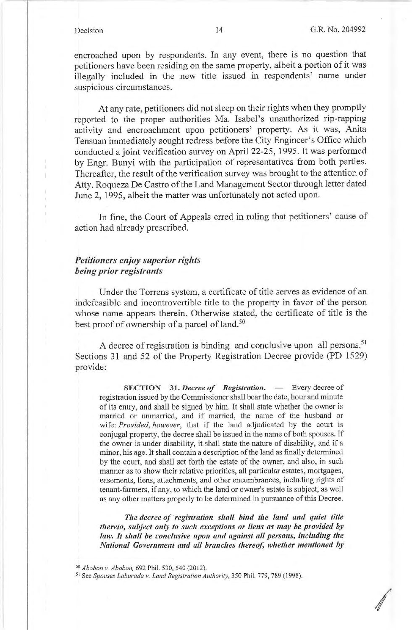encroached upon by respondents. In any event, there is no question that petitioners have been residing on the same property, albeit a portion of it was illegally included in the new title issued in respondents' name under suspicious circumstances.

At any rate, petitioners did not sleep on their rights when they promptly reported to the proper authorities Ma. Isabel's unauthorized rip-rapping activity and encroachment upon petitioners' property. As it was, Anita Tensuan immediately sought redress before the City Engineer's Office which conducted a joint verification survey on April 22-25, 1995. It was performed by Engr. Bunyi with the participation of representatives from both parties. Thereafter, the result of the verification survey was brought to the attention of Atty. Roqueza De Castro of the Land Management Sector through letter dated June 2, 1995, albeit the matter was unfortunately not acted upon.

In fine, the Court of Appeals erred in ruling that petitioners' cause of action had already prescribed.

# *Petitioners enjoy superior rights being prior registrants*

Under the Torrens system, a certificate of title serves as evidence of an indefeasible and incontrovertible title to the property in favor of the person whose name appears therein. Otherwise stated, the certificate of title is the best proof of ownership of a parcel of land.<sup>50</sup>

A decree of registration is binding and conclusive upon all persons.<sup>51</sup> Sections 31 and 52 of the Property Registration Decree provide (PD 1529) provide:

**SECTION** 31. *Decree of Registration.* - Every decree of registration issued by the Commissioner shall bear the date, hour and minute of its entry, and shall be signed by him. It shall state whether the owner is married or unmarried, and if married, the name of the husband or wife: *Provided, however,* that if the land adjudicated by the court is conjugal property, the decree shall be issued in the name of both spouses. If the owner is under disability, it shall state the nature of disability, and if a minor, his age. It shall contain a description of the land as finally determined by the court, and shall set forth the estate of the owner, and also, in such manner as to show their relative priorities, all particular estates, mortgages, easements, liens, attachments, and other encumbrances, including rights of tenant-farmers, if any, to which the land or owner's estate is subject, as well as any other matters properly to be determined in pursuance of this Decree.

*The decree of registration shall bind the land and quiet title thereto, subject only to such exceptions or liens as may be provided by*  law. It shall be conclusive upon and against all persons, including the *National Government and all branches thereof, whether mentioned by* 

<sup>50</sup> *Abobon v. Abobon,* 692 Phil. 530,540 (2012).

<sup>&</sup>lt;sup>51</sup> See *Spouses Laburada v. Land Registration Authority*, 350 Phil. 779, 789 (1998).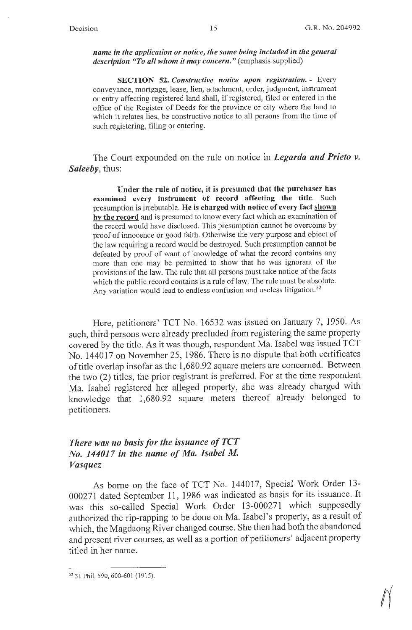*name in the application or notice, the same being included in the general description "To all whom it may concern."* (emphasis supplied)

**SECTION 52.** *Constructive notice upon registration.* - Every conveyance, mortgage, lease, lien, attachment, order, judgment, instrument or entry affecting registered land shall, if registered, filed or entered in the office of the Register of Deeds for the province or city where the land to which it relates lies, be constructive notice to all persons from the time of such registering, filing or entering.

The Court expounded on the rule on notice in *Legarda and Prieto v. Saleeby,* thus:

**Under the rule of notice, it is presumed that the purchaser has examined every instrument of record affecting the title.** Such presumption is irrebutable. **He is charged with notice of every fact shown by the record** and is presumed to know every fact which an examination of the record would have disclosed. This presumption cannot be overcome by proof of innocence or good faith. Otherwise the very purpose and object of the law requiring a record would be destroyed. Such presumption cannot be defeated by proof of want of knowledge of what the record contains any more than one may be permitted to show that he was ignorant of the provisions of the law. The rule that all persons must take notice of the facts which the public record contains is a rule of law. The rule must be absolute. Any variation would lead to endless confusion and useless litigation.<sup>52</sup>

Here, petitioners' TCT No. 16532 was issued on January 7, 1950. As such, third persons were already precluded from registering the same property covered by the title. As it was though, respondent Ma. Isabel was issued TCT No. 144017 on November 25, 1986. There is no dispute that both certificates of title overlap insofar as the 1,680.92 square meters are concerned. Between the two (2) titles, the prior registrant is preferred. For at the time respondent Ma. Isabel registered her alleged property, she was already charged with knowledge that 1,680.92 square meters thereof already belonged to petitioners.

# *There was no basis for the issuance of TCT No. 144017 in the name of Ma. Isabel M. Vasquez*

As borne on the face of TCT No. 144017, Special Work Order 13-000271 dated September 11, 1986 was indicated as basis for its issuance. It was this so-called Special Work Order 13-000271 which supposedly authorized the rip-rapping to be done on Ma. Isabel's property, as a result of which, the Magdaong River changed course. She then had both the abandoned and present river courses, as well as a portion of petitioners' adjacent property titled in her name.

<sup>52 31</sup> Phil. 590, 600-601 (1915).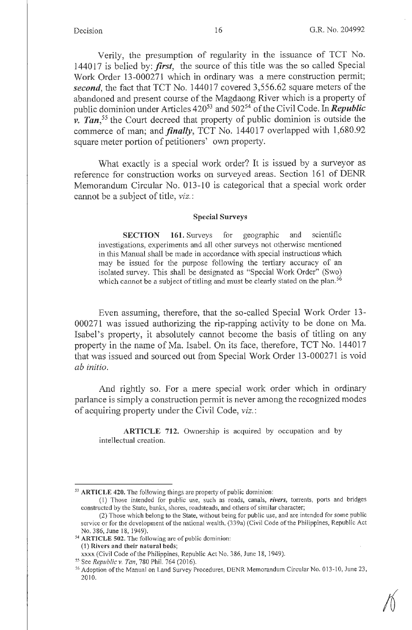Verily, the presumption of regularity in the issuance of TCT No. 144017 is belied by: *first,* the source of this title was the so called Special Work Order 13-000271 which in ordinary was a mere construction permit; *second,* the fact that TCT No. 144017 covered 3,556.62 square meters of the abandoned and present course of the Magdaong River which is a property of public dominion under Articles 420<sup>53</sup> and 502<sup>54</sup> of the Civil Code. In *Republic v. Tan,55* the Court decreed that property of public dominion is outside the commerce of man; and *finally*, TCT No. 144017 overlapped with 1,680.92 square meter portion of petitioners' own property.

What exactly is a special work order? It is issued by a surveyor as reference for construction works on surveyed areas. Section 161 of DENR Memorandum Circular No. 013-10 is categorical that a special work order cannot be a subject of title, *viz.:* 

## **Special Surveys**

**SECTION 161.** Surveys for geographic and scientific investigations, experiments and all other surveys not otherwise mentioned in this Manual shall be made in accordance with special instructions which may be issued for the purpose following the tertiary accuracy of an isolated survey. This shall be designated as "Special Work Order" (Swo) which cannot be a subject of titling and must be clearly stated on the plan.<sup>56</sup>

Even assuming, therefore, that the so-called Special Work Order 13- 000271 was issued authorizing the rip-rapping activity to be done on Ma. Isabel's property, it absolutely cannot become the basis of titling on any property in the name of Ma. Isabel. On its face, therefore, TCT No. 144017 that was issued and sourced out from Special Work Order 13-000271 is void *ab initio.* 

And rightly so. For a mere special work order which in ordinary parlance is simply a construction permit is never among the recognized modes of acquiring property under the Civil Code, *viz.:* 

**ARTICLE 712.** Ownership is acquired by occupation and by intellectual creation.

<sup>53</sup>**ARTICLE 420.** The following things are property of public dominion:

<sup>(1)</sup> Those intended for public use, such as roads, canals, *rivers,* torrents, ports and bridges constructed by the State, banks, shores, roadsteads, and others of similar character;

<sup>(2)</sup> Those which belong to the State, without being for public use, and are intended for some public service or for the development of the national wealth. (339a) (Civil Code of the Philippines, Republic Act No. 386, June 18, 1949).<br><sup>54</sup> **ARTICLE 502.** The following are of public dominion:

<sup>(1)</sup> **Rivers and their natural beds;** 

xxxx (Civil Code of the Philippines, Republic Act No. 386, June 18, 1949).<br><sup>55</sup> See Republic v. Tan, 780 Phil. 764 (2016).

<sup>&</sup>lt;sup>56</sup> Adoption of the Manual on Land Survey Procedures, DENR Memorandum Circular No. 013-10, June 23, 2010.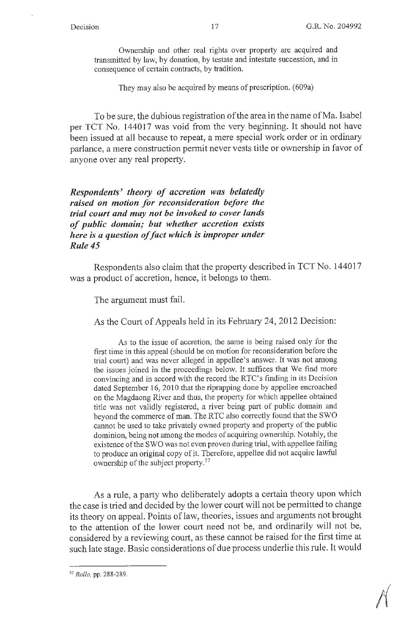Ownership and other real rights over property are acquired and transmitted by law, by donation, by testate and intestate succession, and in consequence of certain contracts, by tradition.

They may also be acquired by means of prescription. (609a)

To be sure, the dubious registration of the area in the name of Ma. Isabel per TCT No. 144017 was void from the very beginning. It should not have been issued at all because to repeat, a mere special work order or in ordinary parlance, a mere construction permit never vests title or ownership in favor of anyone over any real property.

*Respondents' theory of accretion was belatedly raised on motion for reconsideration before the trial court and may not be invoked to cover lands of public domain; but whether accretion exists here is a question of fact which is improper under Rule 45* 

Respondents also claim that the property described in TCT No. 144017 was a product of accretion, hence, it belongs to them.

The argument must fail.

As the Court of Appeals held in its February 24, 2012 Decision:

As to the issue of accretion, the same is being raised only for the first time in this appeal (should be on motion for reconsideration before the trial court) and was never alleged in appellee's answer. It was not among the issues joined in the proceedings below. It suffices that We find more convincing and in accord with the record the RTC's finding in its Decision dated September 16, 2010 that the riprapping done by appellee encroached on the Magdaong River and thus, the property for which appellee obtained title was not validly registered, a river being part of public domain and beyond the commerce of man. The RTC also correctly found that the SWO cannot be used to take privately owned property and property of the public dominion, being not among the modes of acquiring ownership. Notably, the existence of the SWO was not even proven during trial, with appellee failing to produce an original copy of it. Therefore, appellee did not acquire lawful ownership of the subject property.<sup>57</sup>

As a rule, a party who deliberately adopts a certain theory upon which the case is tried and decided by the lower court will not be permitted to change its theory on appeal. Points of law, theories, issues and arguments not brought to the attention of the lower court need not be, and ordinarily will not be, considered by a reviewing court, as these cannot be raised for the first time at such late stage. Basic considerations of due process underlie this rule. It would

*<sup>51</sup> Rollo,* pp. 288-289.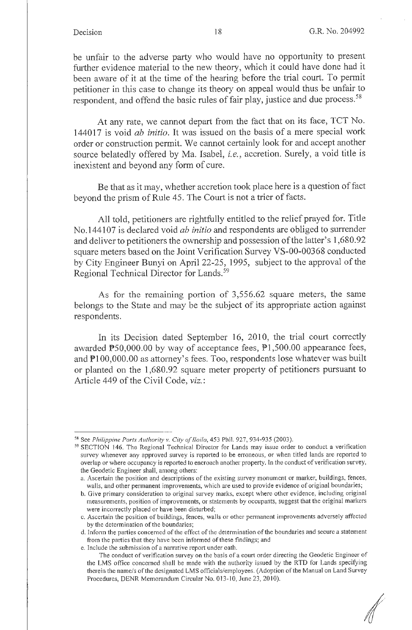be unfair to the adverse party who would have no opportunity to present further evidence material to the new theory, which it could have done had it been aware of it at the time of the hearing before the trial court. To permit petitioner in this case to change its theory on appeal would thus be unfair to respondent, and offend the basic rules of fair play, justice and due process.<sup>58</sup>

At any rate, we cannot depart from the fact that on its face, TCT No. 144017 is void *ab initio.* It was issued on the basis of a mere special work order or construction permit. We cannot certainly look for and accept another source belatedly offered by Ma. Isabel, *i.e.,* accretion. Surely, a void title is inexistent and beyond any form of cure.

Be that as it may, whether accretion took place here is a question of fact beyond the prism of Rule 45 . The Court is not a trier of facts.

All told, petitioners are rightfully entitled to the relief prayed for. Title No.144107 is declared void *ab initio* and respondents are obliged to surrender and deliver to petitioners the ownership and possession of the latter's 1,680.92 square meters based on the Joint Verification Survey VS-00-00368 conducted by City Engineer Bunyi on April 22-25, 1995, subject to the approval of the Regional Technical Director for Lands. 59

As for the remaining portion of 3,556.62 square meters, the same belongs to the State and may be the subject of its appropriate action against respondents.

In its Decision dated September 16, 2010, the trial court correctly awarded  $P50,000.00$  by way of acceptance fees,  $P1,500.00$  appearance fees, and  $\mathbb{P}100,000.00$  as attorney's fees. Too, respondents lose whatever was built or planted on the 1,680.92 square meter property of petitioners pursuant to Article 449 of the Civil Code, *viz.:* 

*I* 

<sup>&</sup>lt;sup>58</sup> See *Philippine Ports Authority v. City of Iloilo*, 453 Phil. 927, 934-935 (2003).<br><sup>59</sup> SECTION 146. The Regional Technical Director for Lands may issue order to conduct a verification survey whenever any approved survey is reported to be erroneous, or when titled lands are reported to overlap or where occupancy is reported to encroach another property. In the conduct of verification survey, the Geodetic Engineer shall, among others:

a. Ascertain the position and descriptions of the existing survey monument or marker, buildings, fences, walls, and other permanent improvements, which are used to provide evidence of original boundaries;

b. Give primary consideration to original survey marks, except where other evidence, including original measurements, position of improvements, or statements by occupants, suggest that the original markers were incorrectly placed or have been disturbed;

c. Ascertain the position of buildings, fences, walls or other permanent improvements adversely affected by the determination of the boundaries;

d. Inform the parties concerned of the effect of the determination of the boundaries and secure a statement from the parties that they have been informed of these findings; and

e. Include the submission of a narrative report under oath.

The conduct of verification survey on the basis of a court order directing the Geodetic Engineer of the LMS office concerned shall be made with the authority issued by the RTD for Lands specifying therein the name/s of the designated LMS officials/employees. (Adoption of the Manual on Land Survey Procedures, DENR Memorandum Circular No. 013-10, June 23, 20 10).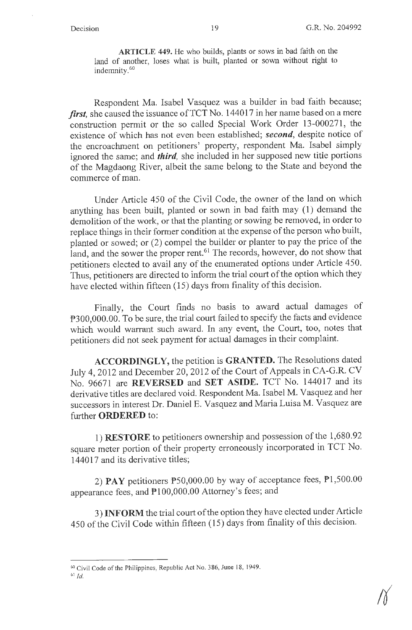**ARTICLE 449.** He who builds, plants or sows in bad faith on the land of another, loses what is built, planted or sown without right to indemnity. 60

Respondent Ma. Isabel Vasquez was a builder in bad faith because; *first*, she caused the issuance of TCT No. 144017 in her name based on a mere construction permit or the so called Special Work Order 13-000271, the existence of which has not even been established; *second,* despite notice of the encroachment on petitioners' property, respondent Ma. Isabel simply ignored the same; and *third,* she included in her supposed new title portions of the Magdaong River, albeit the same belong to the State and beyond the commerce of man.

Under Article 450 of the Civil Code, the owner of the land on which anything has been built, planted or sown in bad faith may (1) demand the demolition of the work, or that the planting or sowing be removed, in order to replace things in their former condition at the expense of the person who built, planted or sowed; or (2) compel the builder or planter to pay the price of the land, and the sower the proper rent.<sup>61</sup> The records, however, do not show that petitioners elected to avail any of the enumerated options under Article 450. Thus, petitioners are directed to inform the trial court of the option which they have elected within fifteen (15) days from finality of this decision.

Finally, the Court finds no basis to award actual damages of P300,000.00. To be sure, the trial court failed to specify the facts and evidence which would warrant such award. In any event, the Court, too, notes that petitioners did not seek payment for actual damages in their complaint.

**ACCORDINGLY,** the petition is **GRANTED.** The Resolutions dated July 4, 2012 and December 20, 2012 of the Court of Appeals in CA-G.R. CV No. 96671 are **REVERSED** and **SET ASIDE.** TCT No. 144017 and its derivative titles are declared void. Respondent Ma. Isabel M. Vasquez and her successors in interest Dr. Daniel E. Vasquez and Maria Luisa M. Vasquez are further **ORDERED** to:

1) **RESTORE** to petitioners ownership and possession of the 1,680.92 square meter portion of their property erroneously incorporated in TCT No. 144017 and its derivative titles;

2) **PAY** petitioners P50,000.00 by way of acceptance fees, Pl ,500.00 appearance fees, and  $P100,000.00$  Attorney's fees; and

3) **INFORM** the trial court of the option they have elected under Article 450 of the Civil Code within fifteen (15) days from finality of this decision.

<sup>6°</sup> Civil Code of the Philippines, Republic Act No. 386, June 18, 1949.

 $61$   $Id.$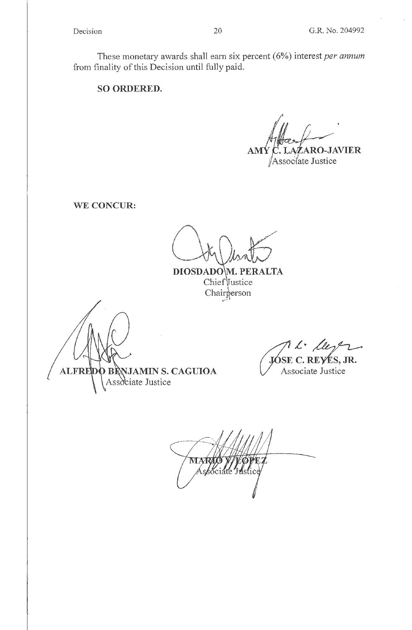These monetary awards shall earn six percent ( 6%) interest *per annum*  from finality of this Decision until fully paid.

**SO ORDERED.** 

**AMY C. LAZARO-JAVIER** 

Assoc/ate Justice

**WE CONCUR:** 

DIOSDADO M. PERALTA Chief Vustice Chairperson

**ALFREDO BRNJAMIN S. CAGUIOA** 

*L· k/-1.--* **E C. REvtS, JR.** 

Associate Justice

MAR Associate Justice